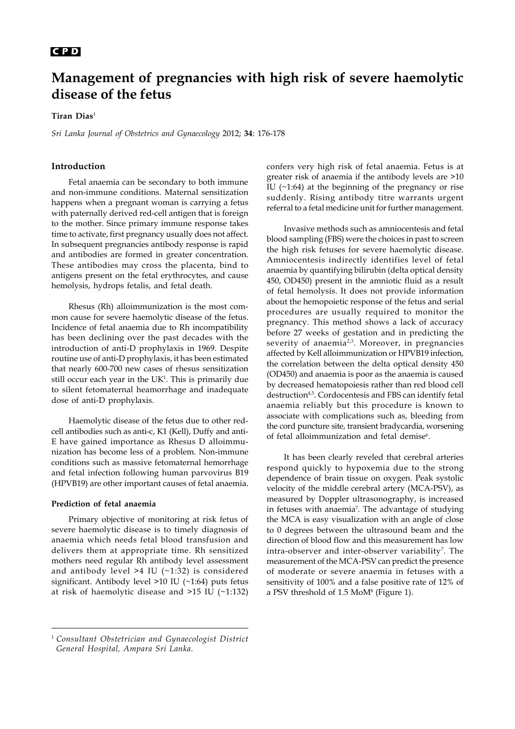# 176 **C P D**

# **Management of pregnancies with high risk of severe haemolytic disease of the fetus**

## **Tiran Dias**<sup>1</sup>

*Sri Lanka Journal of Obstetrics and Gynaecology* 2012; **34**: 176-178

# **Introduction**

Fetal anaemia can be secondary to both immune and non-immune conditions. Maternal sensitization happens when a pregnant woman is carrying a fetus with paternally derived red-cell antigen that is foreign to the mother. Since primary immune response takes time to activate, first pregnancy usually does not affect. In subsequent pregnancies antibody response is rapid and antibodies are formed in greater concentration. These antibodies may cross the placenta, bind to antigens present on the fetal erythrocytes, and cause hemolysis, hydrops fetalis, and fetal death.

Rhesus (Rh) alloimmunization is the most common cause for severe haemolytic disease of the fetus. Incidence of fetal anaemia due to Rh incompatibility has been declining over the past decades with the introduction of anti-D prophylaxis in 1969. Despite routine use of anti-D prophylaxis, it has been estimated that nearly 600-700 new cases of rhesus sensitization still occur each year in the UK1 . This is primarily due to silent fetomaternal heamorrhage and inadequate dose of anti-D prophylaxis.

Haemolytic disease of the fetus due to other redcell antibodies such as anti-c, K1 (Kell), Duffy and anti-E have gained importance as Rhesus D alloimmunization has become less of a problem. Non-immune conditions such as massive fetomaternal hemorrhage and fetal infection following human parvovirus B19 (HPVB19) are other important causes of fetal anaemia.

#### **Prediction of fetal anaemia**

Primary objective of monitoring at risk fetus of severe haemolytic disease is to timely diagnosis of anaemia which needs fetal blood transfusion and delivers them at appropriate time. Rh sensitized mothers need regular Rh antibody level assessment and antibody level  $>4$  IU ( $\sim$ 1:32) is considered significant. Antibody level >10 IU (~1:64) puts fetus at risk of haemolytic disease and >15 IU (~1:132) confers very high risk of fetal anaemia. Fetus is at greater risk of anaemia if the antibody levels are >10 IU (~1:64) at the beginning of the pregnancy or rise suddenly. Rising antibody titre warrants urgent referral to a fetal medicine unit for further management.

Invasive methods such as amniocentesis and fetal blood sampling (FBS) were the choices in past to screen the high risk fetuses for severe haemolytic disease. Amniocentesis indirectly identifies level of fetal anaemia by quantifying bilirubin (delta optical density 450, OD450) present in the amniotic fluid as a result of fetal hemolysis. It does not provide information about the hemopoietic response of the fetus and serial procedures are usually required to monitor the pregnancy. This method shows a lack of accuracy before 27 weeks of gestation and in predicting the severity of anaemia<sup>2,3</sup>. Moreover, in pregnancies affected by Kell alloimmunization or HPVB19 infection, the correlation between the delta optical density 450 (OD450) and anaemia is poor as the anaemia is caused by decreased hematopoiesis rather than red blood cell destruction<sup>4,5</sup>. Cordocentesis and FBS can identify fetal anaemia reliably but this procedure is known to associate with complications such as, bleeding from the cord puncture site, transient bradycardia, worsening of fetal alloimmunization and fetal demise<sup>6</sup>.

It has been clearly reveled that cerebral arteries respond quickly to hypoxemia due to the strong dependence of brain tissue on oxygen. Peak systolic velocity of the middle cerebral artery (MCA-PSV), as measured by Doppler ultrasonography, is increased in fetuses with anaemia<sup>7</sup>. The advantage of studying the MCA is easy visualization with an angle of close to 0 degrees between the ultrasound beam and the direction of blood flow and this measurement has low intra-observer and inter-observer variability<sup>7</sup>. The measurement of the MCA-PSV can predict the presence of moderate or severe anaemia in fetuses with a sensitivity of 100% and a false positive rate of 12% of a PSV threshold of 1.5 MoM<sup>8</sup> (Figure 1).

<sup>1</sup> *Consultant Obstetrician and Gynaecologist District General Hospital, Ampara Sri Lanka.*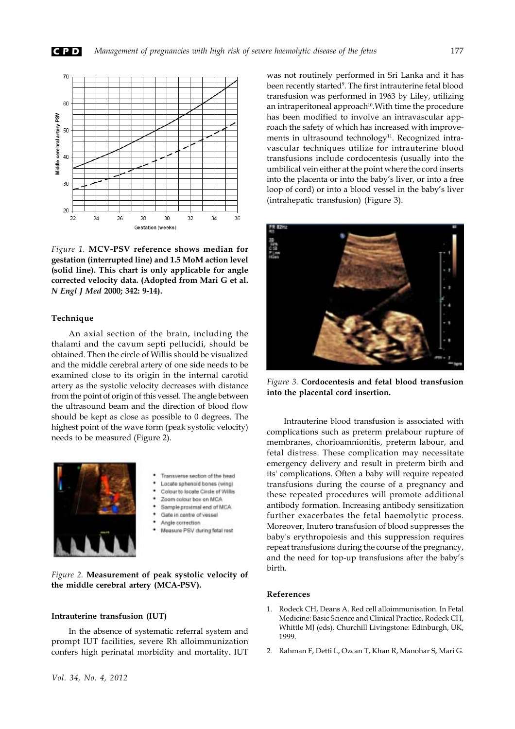



*Figure 1.* **MCV-PSV reference shows median for gestation (interrupted line) and 1.5 MoM action level (solid line). This chart is only applicable for angle corrected velocity data. (Adopted from Mari G et al.** *N Engl J Med* **2000; 342: 9-14).**

## **Technique**

An axial section of the brain, including the thalami and the cavum septi pellucidi, should be obtained. Then the circle of Willis should be visualized and the middle cerebral artery of one side needs to be examined close to its origin in the internal carotid artery as the systolic velocity decreases with distance from the point of origin of this vessel. The angle between the ultrasound beam and the direction of blood flow should be kept as close as possible to 0 degrees. The highest point of the wave form (peak systolic velocity) needs to be measured (Figure 2).



- Transverse section of the head
- Locate sphenoid bones (wing) Colour to locate Circle of Willis
- Zoom colour box on MCA
- Sample proximal end of MCA
- Gate in centre of vessel
- Angle correction
- Measure PSV during fetal rest

*Figure 2.* **Measurement of peak systolic velocity of the middle cerebral artery (MCA-PSV).**

# **Intrauterine transfusion (IUT)**

In the absence of systematic referral system and prompt IUT facilities, severe Rh alloimmunization confers high perinatal morbidity and mortality. IUT

was not routinely performed in Sri Lanka and it has been recently started<sup>9</sup>. The first intrauterine fetal blood transfusion was performed in 1963 by Liley, utilizing an intraperitoneal approach<sup>10</sup>. With time the procedure has been modified to involve an intravascular approach the safety of which has increased with improvements in ultrasound technology<sup>11</sup>. Recognized intravascular techniques utilize for intrauterine blood transfusions include cordocentesis (usually into the umbilical vein either at the point where the cord inserts into the placenta or into the baby's liver, or into a free loop of cord) or into a blood vessel in the baby's liver (intrahepatic transfusion) (Figure 3).



*Figure 3.* **Cordocentesis and fetal blood transfusion into the placental cord insertion.**

Intrauterine blood transfusion is associated with complications such as preterm prelabour rupture of membranes, chorioamnionitis, preterm labour, and fetal distress. These complication may necessitate emergency delivery and result in preterm birth and its' complications. Often a baby will require repeated transfusions during the course of a pregnancy and these repeated procedures will promote additional antibody formation. Increasing antibody sensitization further exacerbates the fetal haemolytic process. Moreover, Inutero transfusion of blood suppresses the baby's erythropoiesis and this suppression requires repeat transfusions during the course of the pregnancy, and the need for top-up transfusions after the baby's birth.

### **References**

- 1. Rodeck CH, Deans A. Red cell alloimmunisation. In Fetal Medicine: Basic Science and Clinical Practice, Rodeck CH, Whittle MJ (eds). Churchill Livingstone: Edinburgh, UK, 1999.
- 2. Rahman F, Detti L, Ozcan T, Khan R, Manohar S, Mari G.